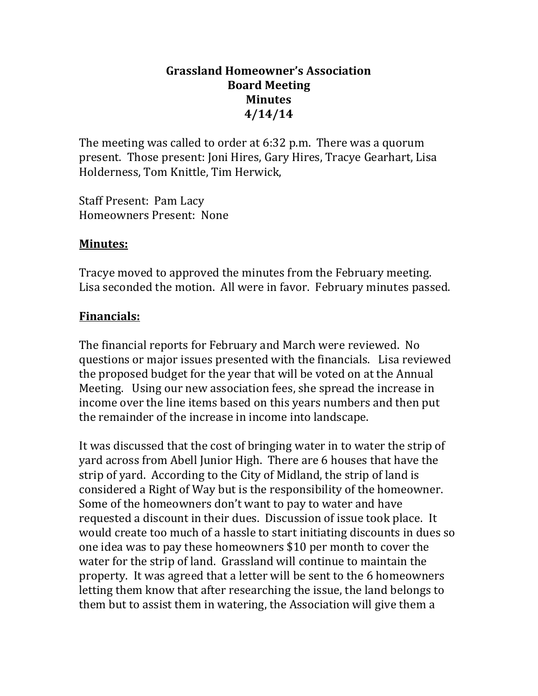# **Grassland Homeowner's Association Board Meeting Minutes 4/14/14**

The meeting was called to order at 6:32 p.m. There was a quorum present. Those present: Joni Hires, Gary Hires, Tracye Gearhart, Lisa Holderness, Tom Knittle, Tim Herwick,

Staff Present: Pam Lacy Homeowners Present: None

### **Minutes:**

Tracye moved to approved the minutes from the February meeting. Lisa seconded the motion. All were in favor. February minutes passed.

# **Financials:**

The financial reports for February and March were reviewed. No questions or major issues presented with the financials. Lisa reviewed the proposed budget for the year that will be voted on at the Annual Meeting. Using our new association fees, she spread the increase in income over the line items based on this years numbers and then put the remainder of the increase in income into landscape.

It was discussed that the cost of bringing water in to water the strip of yard across from Abell Junior High. There are 6 houses that have the strip of yard. According to the City of Midland, the strip of land is considered a Right of Way but is the responsibility of the homeowner. Some of the homeowners don't want to pay to water and have requested a discount in their dues. Discussion of issue took place. It would create too much of a hassle to start initiating discounts in dues so one idea was to pay these homeowners \$10 per month to cover the water for the strip of land. Grassland will continue to maintain the property. It was agreed that a letter will be sent to the 6 homeowners letting them know that after researching the issue, the land belongs to them but to assist them in watering, the Association will give them a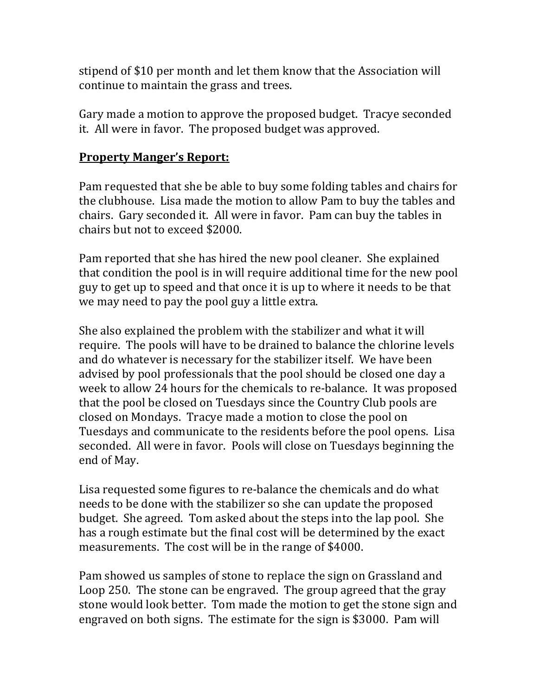stipend of \$10 per month and let them know that the Association will continue to maintain the grass and trees.

Gary made a motion to approve the proposed budget. Tracye seconded it. All were in favor. The proposed budget was approved.

#### **Property Manger's Report:**

Pam requested that she be able to buy some folding tables and chairs for the clubhouse. Lisa made the motion to allow Pam to buy the tables and chairs. Gary seconded it. All were in favor. Pam can buy the tables in chairs but not to exceed \$2000.

Pam reported that she has hired the new pool cleaner. She explained that condition the pool is in will require additional time for the new pool guy to get up to speed and that once it is up to where it needs to be that we may need to pay the pool guy a little extra.

She also explained the problem with the stabilizer and what it will require. The pools will have to be drained to balance the chlorine levels and do whatever is necessary for the stabilizer itself. We have been advised by pool professionals that the pool should be closed one day a week to allow 24 hours for the chemicals to re-balance. It was proposed that the pool be closed on Tuesdays since the Country Club pools are closed on Mondays. Tracye made a motion to close the pool on Tuesdays and communicate to the residents before the pool opens. Lisa seconded. All were in favor. Pools will close on Tuesdays beginning the end of May.

Lisa requested some figures to re-balance the chemicals and do what needs to be done with the stabilizer so she can update the proposed budget. She agreed. Tom asked about the steps into the lap pool. She has a rough estimate but the final cost will be determined by the exact measurements. The cost will be in the range of \$4000.

Pam showed us samples of stone to replace the sign on Grassland and Loop 250. The stone can be engraved. The group agreed that the gray stone would look better. Tom made the motion to get the stone sign and engraved on both signs. The estimate for the sign is \$3000. Pam will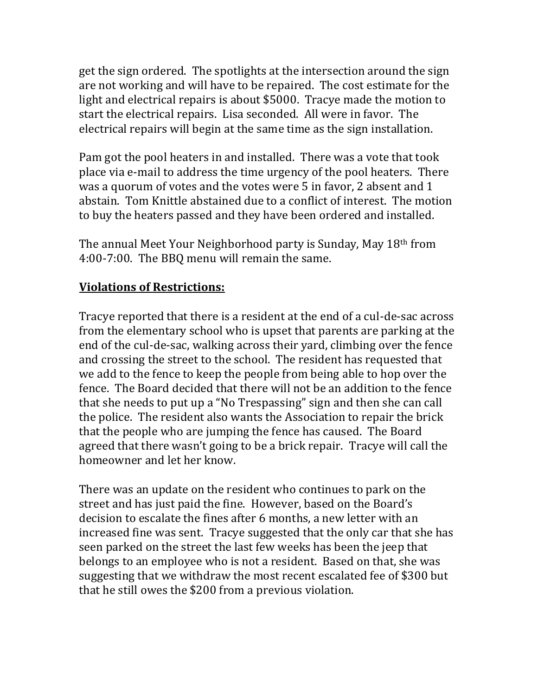get the sign ordered. The spotlights at the intersection around the sign are not working and will have to be repaired. The cost estimate for the light and electrical repairs is about \$5000. Tracye made the motion to start the electrical repairs. Lisa seconded. All were in favor. The electrical repairs will begin at the same time as the sign installation.

Pam got the pool heaters in and installed. There was a vote that took place via e-mail to address the time urgency of the pool heaters. There was a quorum of votes and the votes were 5 in favor, 2 absent and 1 abstain. Tom Knittle abstained due to a conflict of interest. The motion to buy the heaters passed and they have been ordered and installed.

The annual Meet Your Neighborhood party is Sunday, May 18th from 4:00-7:00. The BBQ menu will remain the same.

# **Violations of Restrictions:**

Tracye reported that there is a resident at the end of a cul-de-sac across from the elementary school who is upset that parents are parking at the end of the cul-de-sac, walking across their yard, climbing over the fence and crossing the street to the school. The resident has requested that we add to the fence to keep the people from being able to hop over the fence. The Board decided that there will not be an addition to the fence that she needs to put up a "No Trespassing" sign and then she can call the police. The resident also wants the Association to repair the brick that the people who are jumping the fence has caused. The Board agreed that there wasn't going to be a brick repair. Tracye will call the homeowner and let her know.

There was an update on the resident who continues to park on the street and has just paid the fine. However, based on the Board's decision to escalate the fines after 6 months, a new letter with an increased fine was sent. Tracye suggested that the only car that she has seen parked on the street the last few weeks has been the jeep that belongs to an employee who is not a resident. Based on that, she was suggesting that we withdraw the most recent escalated fee of \$300 but that he still owes the \$200 from a previous violation.